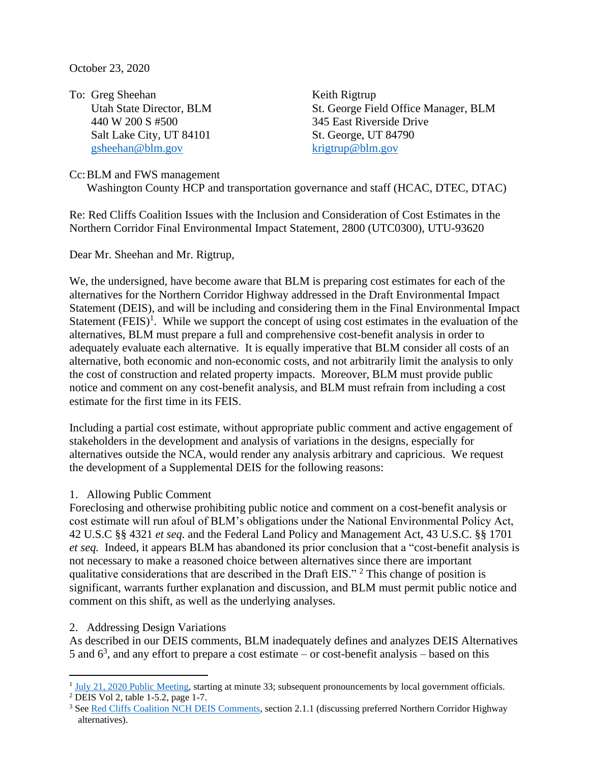October 23, 2020

To: Greg Sheehan Keith Rigtrup 440 W 200 S #500 345 East Riverside Drive Salt Lake City, UT 84101 St. George, UT 84790 [gsheehan@blm.gov](mailto:gsheehan@blm.gov) [krigtrup@blm.gov](mailto:krigtrup@blm.gov)

Utah State Director, BLM St. George Field Office Manager, BLM

Cc:BLM and FWS management Washington County HCP and transportation governance and staff (HCAC, DTEC, DTAC)

Re: Red Cliffs Coalition Issues with the Inclusion and Consideration of Cost Estimates in the Northern Corridor Final Environmental Impact Statement, 2800 (UTC0300), UTU-93620

Dear Mr. Sheehan and Mr. Rigtrup,

We, the undersigned, have become aware that BLM is preparing cost estimates for each of the alternatives for the Northern Corridor Highway addressed in the Draft Environmental Impact Statement (DEIS), and will be including and considering them in the Final Environmental Impact Statement  $(FEIS)^1$ . While we support the concept of using cost estimates in the evaluation of the alternatives, BLM must prepare a full and comprehensive cost-benefit analysis in order to adequately evaluate each alternative. It is equally imperative that BLM consider all costs of an alternative, both economic and non-economic costs, and not arbitrarily limit the analysis to only the cost of construction and related property impacts. Moreover, BLM must provide public notice and comment on any cost-benefit analysis, and BLM must refrain from including a cost estimate for the first time in its FEIS.

Including a partial cost estimate, without appropriate public comment and active engagement of stakeholders in the development and analysis of variations in the designs, especially for alternatives outside the NCA, would render any analysis arbitrary and capricious. We request the development of a Supplemental DEIS for the following reasons:

### 1. Allowing Public Comment

Foreclosing and otherwise prohibiting public notice and comment on a cost-benefit analysis or cost estimate will run afoul of BLM's obligations under the National Environmental Policy Act, 42 U.S.C §§ 4321 *et seq.* and the Federal Land Policy and Management Act, 43 U.S.C. §§ 1701 *et seq.* Indeed, it appears BLM has abandoned its prior conclusion that a "cost-benefit analysis is not necessary to make a reasoned choice between alternatives since there are important qualitative considerations that are described in the Draft EIS." <sup>2</sup> This change of position is significant, warrants further explanation and discussion, and BLM must permit public notice and comment on this shift, as well as the underlying analyses.

### 2. Addressing Design Variations

As described in our DEIS comments, BLM inadequately defines and analyzes DEIS Alternatives 5 and  $6<sup>3</sup>$ , and any effort to prepare a cost estimate – or cost-benefit analysis – based on this

<sup>&</sup>lt;sup>1</sup> [July 21, 2020 Public Meeting,](https://www.youtube.com/watch?v=gOLo6Hnd_gs) starting at minute 33; subsequent pronouncements by local government officials.

<sup>&</sup>lt;sup>2</sup> DEIS Vol 2, table 1-5.2, page 1-7.

<sup>&</sup>lt;sup>3</sup> Se[e Red Cliffs Coalition NCH DEIS Comments,](https://conserveswu.org/wp-content/uploads/2020/09/Red-Cliffs-Conservation-Coalition-NCH-DEIS-Comments.pdf#page=62&zoom=100,92,78) section 2.1.1 (discussing preferred Northern Corridor Highway alternatives).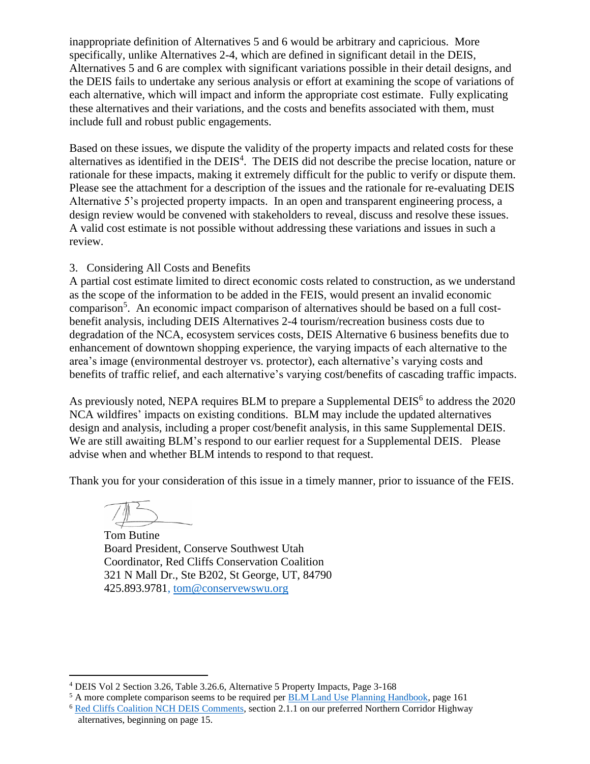inappropriate definition of Alternatives 5 and 6 would be arbitrary and capricious. More specifically, unlike Alternatives 2-4, which are defined in significant detail in the DEIS, Alternatives 5 and 6 are complex with significant variations possible in their detail designs, and the DEIS fails to undertake any serious analysis or effort at examining the scope of variations of each alternative, which will impact and inform the appropriate cost estimate. Fully explicating these alternatives and their variations, and the costs and benefits associated with them, must include full and robust public engagements.

Based on these issues, we dispute the validity of the property impacts and related costs for these alternatives as identified in the DEIS<sup>4</sup>. The DEIS did not describe the precise location, nature or rationale for these impacts, making it extremely difficult for the public to verify or dispute them. Please see the attachment for a description of the issues and the rationale for re-evaluating DEIS Alternative 5's projected property impacts. In an open and transparent engineering process, a design review would be convened with stakeholders to reveal, discuss and resolve these issues. A valid cost estimate is not possible without addressing these variations and issues in such a review.

# 3. Considering All Costs and Benefits

A partial cost estimate limited to direct economic costs related to construction, as we understand as the scope of the information to be added in the FEIS, would present an invalid economic comparison<sup>5</sup>. An economic impact comparison of alternatives should be based on a full costbenefit analysis, including DEIS Alternatives 2-4 tourism/recreation business costs due to degradation of the NCA, ecosystem services costs, DEIS Alternative 6 business benefits due to enhancement of downtown shopping experience, the varying impacts of each alternative to the area's image (environmental destroyer vs. protector), each alternative's varying costs and benefits of traffic relief, and each alternative's varying cost/benefits of cascading traffic impacts.

As previously noted, NEPA requires BLM to prepare a Supplemental DEIS $<sup>6</sup>$  to address the 2020</sup> NCA wildfires' impacts on existing conditions. BLM may include the updated alternatives design and analysis, including a proper cost/benefit analysis, in this same Supplemental DEIS. We are still awaiting BLM's respond to our earlier request for a Supplemental DEIS. Please advise when and whether BLM intends to respond to that request.

Thank you for your consideration of this issue in a timely manner, prior to issuance of the FEIS.

Tom Butine Board President, Conserve Southwest Utah Coordinator, Red Cliffs Conservation Coalition 321 N Mall Dr., Ste B202, St George, UT, 84790 425.893.9781, [tom@conservewswu.org](mailto:tom@conservewswu.org)

<sup>4</sup> DEIS Vol 2 Section 3.26, Table 3.26.6, Alternative 5 Property Impacts, Page 3-168

<sup>&</sup>lt;sup>5</sup> A more complete comparison seems to be required per [BLM Land Use Planning Handbook,](https://www.ntc.blm.gov/krc/uploads/360/4_BLM%20Planning%20Handbook%20H-1601-1.pdf) page 161

<sup>&</sup>lt;sup>6</sup> [Red Cliffs Coalition NCH DEIS Comments,](https://conserveswu.org/wp-content/uploads/2020/09/Red-Cliffs-Conservation-Coalition-NCH-DEIS-Comments.pdf#page=62&zoom=100,92,78) section 2.1.1 on our preferred Northern Corridor Highway alternatives, beginning on page 15.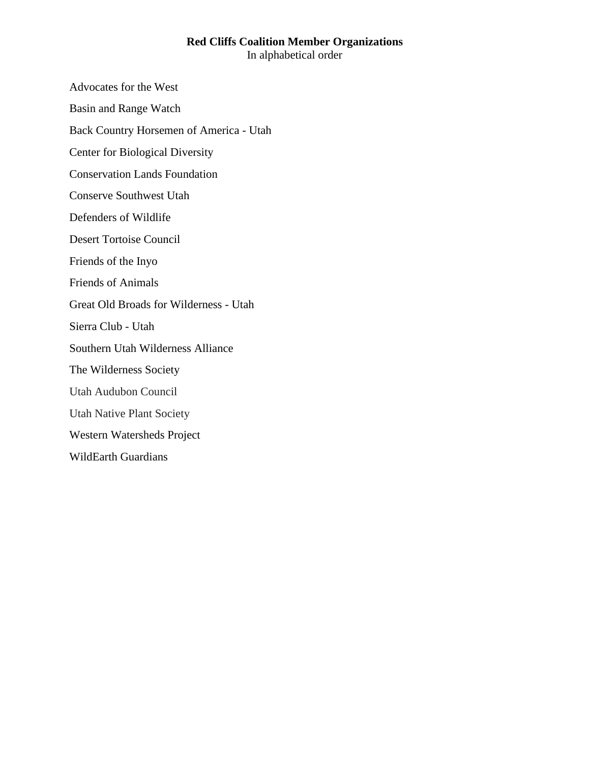### **Red Cliffs Coalition Member Organizations** In alphabetical order

Advocates for the West

Basin and Range Watch

Back Country Horsemen of America - Utah

Center for Biological Diversity

Conservation Lands Foundation

Conserve Southwest Utah

Defenders of Wildlife

Desert Tortoise Council

Friends of the Inyo

Friends of Animals

Great Old Broads for Wilderness - Utah

Sierra Club - Utah

Southern Utah Wilderness Alliance

The Wilderness Society

Utah Audubon Council

Utah Native Plant Society

Western Watersheds Project

WildEarth Guardians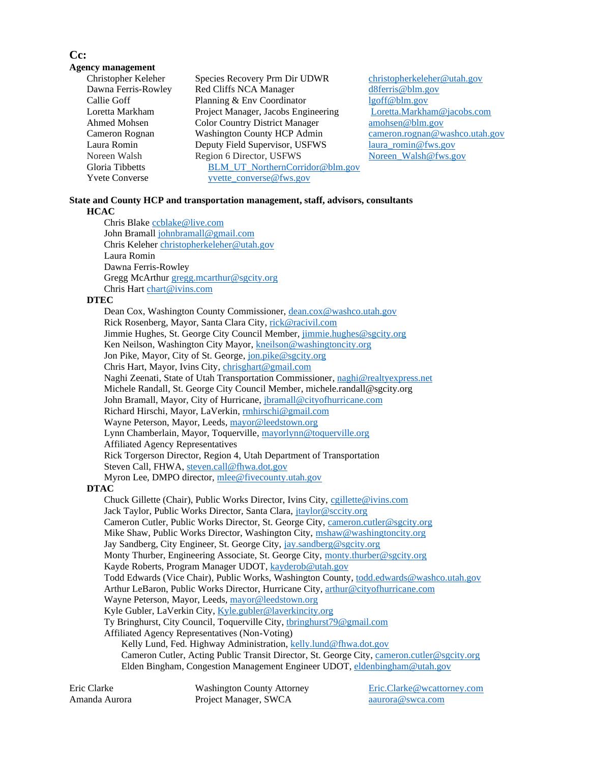### **Cc:**

#### **Agency management**

| Christopher Keleher   | Species Recovery Prm Dir UDWR         | christopherkele |
|-----------------------|---------------------------------------|-----------------|
| Dawna Ferris-Rowley   | Red Cliffs NCA Manager                | d8ferris@blm.g  |
| Callie Goff           | Planning & Env Coordinator            | lgoff@blm.gov   |
| Loretta Markham       | Project Manager, Jacobs Engineering   | Loretta.Markha  |
| Ahmed Mohsen          | <b>Color Country District Manager</b> | amohsen@blm.    |
| Cameron Rognan        | <b>Washington County HCP Admin</b>    | cameron.rognal  |
| Laura Romin           | Deputy Field Supervisor, USFWS        | laura romin@f   |
| Noreen Walsh          | Region 6 Director, USFWS              | Noreen Walsh    |
| Gloria Tibbetts       | BLM_UT_NorthernCorridor@blm.gov       |                 |
| <b>Yvete Converse</b> | yvette_converse@fws.gov               |                 |
|                       |                                       |                 |

copher keleher @utah.gov  $ris@blm.gov$ tta Markham @jacobs.com sen @blm.gov ron rognan @washco.utah.gov  $\text{romin@fws.gov}$ en Walsh@fws.gov

#### **State and County HCP and transportation management, staff, advisors, consultants HCAC**

Chris Blake [ccblake@live.com](mailto:ccblake@live.com) John Bramall [johnbramall@gmail.com](mailto:johnbramall@gmail.com) Chris Keleher [christopherkeleher@utah.gov](mailto:christopherkeleher@utah.gov) Laura Romin Dawna Ferris-Rowley Gregg McArthur [gregg.mcarthur@sgcity.org](mailto:gregg.mcarthur@sgcity.org) Chris Hart [chart@ivins.com](mailto:chart@ivins.com)

#### **DTEC**

Dean Cox, Washington County Commissioner, [dean.cox@washco.utah.gov](mailto:dean.cox@washco.utah.gov) Rick Rosenberg, Mayor, Santa Clara City, [rick@racivil.com](mailto:rick@racivil.com) Jimmie Hughes, St. George City Council Member[, jimmie.hughes@sgcity.org](mailto:jimmie.hughes@sgcity.org) Ken Neilson, Washington City Mayor[, kneilson@washingtoncity.org](mailto:kneilson@washingtoncity.org) Jon Pike, Mayor, City of St. George, [jon.pike@sgcity.org](mailto:jon.pike@sgcity.org) Chris Hart, Mayor, Ivins City, [chrisghart@gmail.com](mailto:chrisghart@gmail.com) Naghi Zeenati, State of Utah Transportation Commissioner, [naghi@realtyexpress.net](mailto:naghi@realtyexpress.net) Michele Randall, St. George City Council Member, michele.randall@sgcity.org John Bramall, Mayor, City of Hurricane, [jbramall@cityofhurricane.com](mailto:jbramall@cityofhurricane.com) Richard Hirschi, Mayor, LaVerkin[, rmhirschi@gmail.com](mailto:rmhirschi@gmail.com) Wayne Peterson, Mayor, Leeds, [mayor@leedstown.org](mailto:mayor@leedstown.org) Lynn Chamberlain, Mayor, Toquerville[, mayorlynn@toquerville.org](mailto:mayorlynn@toquerville.org) Affiliated Agency Representatives Rick Torgerson Director, Region 4, Utah Department of Transportation Steven Call, FHWA, [steven.call@fhwa.dot.gov](mailto:steven.call@fhwa.dot.gov) Myron Lee, DMPO director, [mlee@fivecounty.utah.gov](mailto:mlee@fivecounty.utah.gov)

#### **DTAC**

Chuck Gillette (Chair), Public Works Director, Ivins City, [cgillette@ivins.com](mailto:cgillette@ivins.com) Jack Taylor, Public Works Director, Santa Clara, *jtaylor@sccity.org* Cameron Cutler, Public Works Director, St. George City, [cameron.cutler@sgcity.org](mailto:cameron.cutler@sgcity.org) Mike Shaw, Public Works Director, Washington City, [mshaw@washingtoncity.org](mailto:mshaw@washingtoncity.org) Jay Sandberg, City Engineer, St. George City, [jay.sandberg@sgcity.org](mailto:jay.sandberg@sgcity.org) Monty Thurber, Engineering Associate, St. George City, [monty.thurber@sgcity.org](mailto:monty.thurber@sgcity.org) Kayde Roberts, Program Manager UDOT[, kayderob@utah.gov](mailto:kayderob@utah.gov) Todd Edwards (Vice Chair), Public Works, Washington County, [todd.edwards@washco.utah.gov](mailto:todd.edwards@washco.utah.gov) Arthur LeBaron, Public Works Director, Hurricane City[, arthur@cityofhurricane.com](mailto:arthur@cityofhurricane.com) Wayne Peterson, Mayor, Leeds, [mayor@leedstown.org](mailto:mayor@leedstown.org) Kyle Gubler, LaVerkin City, [Kyle.gubler@laverkincity.org](mailto:Kyle.gubler@laverkincity.org) Ty Bringhurst, City Council, Toquerville City, [tbringhurst79@gmail.com](mailto:tbringhurst79@gmail.com) Affiliated Agency Representatives (Non-Voting) Kelly Lund, Fed. Highway Administration[, kelly.lund@fhwa.dot.gov](mailto:kelly.lund@fhwa.dot.gov) Cameron Cutler, Acting Public Transit Director, St. George City[, cameron.cutler@sgcity.org](mailto:cameron.cutler@sgcity.org) Elden Bingham, Congestion Management Engineer UDOT[, eldenbingham@utah.gov](mailto:eldenbingham@utah.gov)

Amanda Aurora **Project Manager, SWCA** [aaurora@swca.com](mailto:aaurora@swca.com)

Eric Clarke Washington County Attorney [Eric.Clarke@wcattorney.com](mailto:Eric.Clarke@wcattorney.com)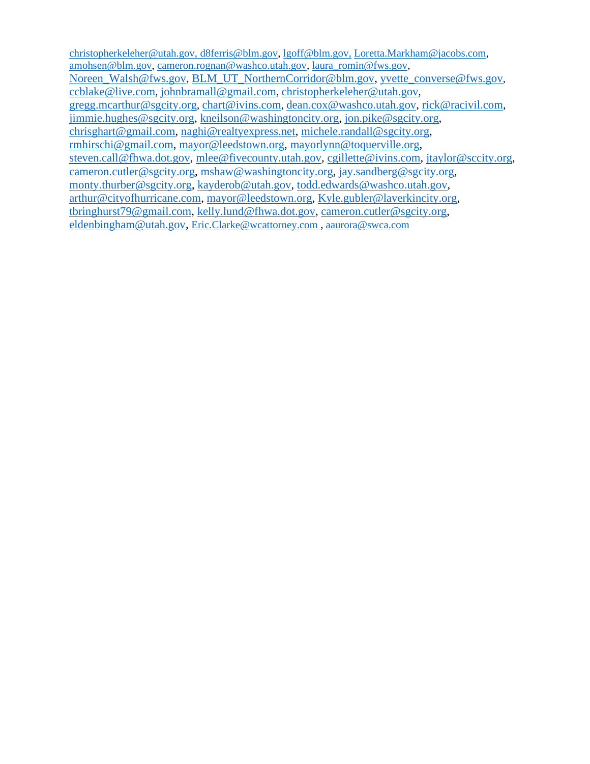[christopherkeleher@utah.gov,](mailto:christopherkeleher@utah.gov) [d8ferris@blm.gov,](mailto:d8ferris@blm.gov) [lgoff@blm.gov,](mailto:lgoff@blm.gov) [Loretta.Markham@jacobs.com,](mailto:Loretta.Markham@jacobs.com) [amohsen@blm.gov,](mailto:amohsen@blm.gov) [cameron.rognan@washco.utah.gov,](mailto:cameron.rognan@washco.utah.gov) [laura\\_romin@fws.gov,](mailto:laura_romin@fws.gov) [Noreen\\_Walsh@fws.gov,](mailto:Noreen_Walsh@fws.gov) [BLM\\_UT\\_NorthernCorridor@blm.gov,](mailto:BLM_UT_NorthernCorridor@blm.gov) [yvette\\_converse@fws.gov](mailto:yvette_converse@fws.gov), [ccblake@live.com](mailto:ccblake@live.com), [johnbramall@gmail.com](mailto:johnbramall@gmail.com), [christopherkeleher@utah.gov](mailto:christopherkeleher@utah.gov), [gregg.mcarthur@sgcity.org](mailto:gregg.mcarthur@sgcity.org), [chart@ivins.com](mailto:chart@ivins.com), [dean.cox@washco.utah.gov,](mailto:dean.cox@washco.utah.gov) [rick@racivil.com,](mailto:rick@racivil.com) [jimmie.hughes@sgcity.org,](mailto:jimmie.hughes@sgcity.org) [kneilson@washingtoncity.org,](mailto:kneilson@washingtoncity.org) [jon.pike@sgcity.org,](mailto:jon.pike@sgcity.org) [chrisghart@gmail.com,](mailto:chrisghart@gmail.com) [naghi@realtyexpress.net,](mailto:naghi@realtyexpress.net) [michele.randall@sgcity.org,](mailto:michele.randall@sgcity.org) [rmhirschi@gmail.com,](mailto:rmhirschi@gmail.com) [mayor@leedstown.org,](mailto:mayor@leedstown.org) [mayorlynn@toquerville.org,](mailto:mayorlynn@toquerville.org) [steven.call@fhwa.dot.gov,](mailto:steven.call@fhwa.dot.gov) [mlee@fivecounty.utah.gov,](mailto:mlee@fivecounty.utah.gov) [cgillette@ivins.com,](mailto:cgillette@ivins.com) [jtaylor@sccity.org,](mailto:jtaylor@sccity.org) [cameron.cutler@sgcity.org,](mailto:cameron.cutler@sgcity.org) [mshaw@washingtoncity.org,](mailto:mshaw@washingtoncity.org) [jay.sandberg@sgcity.org,](mailto:jay.sandberg@sgcity.org) [monty.thurber@sgcity.org,](mailto:monty.thurber@sgcity.org) [kayderob@utah.gov,](mailto:kayderob@utah.gov) [todd.edwards@washco.utah.gov,](mailto:todd.edwards@washco.utah.gov) [arthur@cityofhurricane.com,](mailto:arthur@cityofhurricane.com) [mayor@leedstown.org,](mailto:mayor@leedstown.org) [Kyle.gubler@laverkincity.org,](mailto:Kyle.gubler@laverkincity.org) [tbringhurst79@gmail.com,](mailto:tbringhurst79@gmail.com) [kelly.lund@fhwa.dot.gov,](mailto:kelly.lund@fhwa.dot.gov) [cameron.cutler@sgcity.org,](mailto:cameron.cutler@sgcity.org) [eldenbingham@utah.gov,](mailto:eldenbingham@utah.gov) [Eric.Clarke@wcattorney.com](mailto:Eric.Clarke@wcattorney.com) , [aaurora@swca.com](mailto:aaurora@swca.com)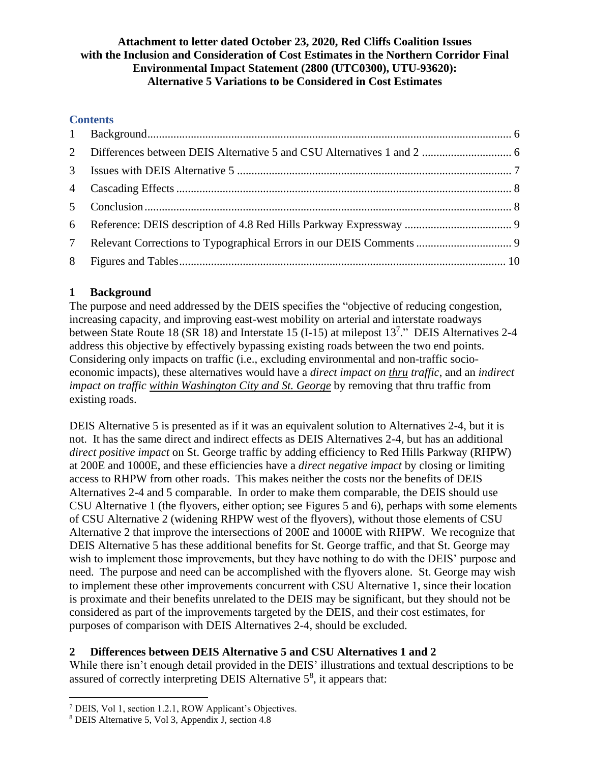## **Attachment to letter dated October 23, 2020, Red Cliffs Coalition Issues with the Inclusion and Consideration of Cost Estimates in the Northern Corridor Final Environmental Impact Statement (2800 (UTC0300), UTU-93620): Alternative 5 Variations to be Considered in Cost Estimates**

# **Contents**

# <span id="page-5-0"></span>**1 Background**

The purpose and need addressed by the DEIS specifies the "objective of reducing congestion, increasing capacity, and improving east-west mobility on arterial and interstate roadways between State Route 18 (SR 18) and Interstate 15 (I-15) at milepost 13<sup>7</sup>." DEIS Alternatives 2-4 address this objective by effectively bypassing existing roads between the two end points. Considering only impacts on traffic (i.e., excluding environmental and non-traffic socioeconomic impacts), these alternatives would have a *direct impact on thru traffic*, and an *indirect impact on traffic within Washington City and St. George* by removing that thru traffic from existing roads.

DEIS Alternative 5 is presented as if it was an equivalent solution to Alternatives 2-4, but it is not. It has the same direct and indirect effects as DEIS Alternatives 2-4, but has an additional *direct positive impact* on St. George traffic by adding efficiency to Red Hills Parkway (RHPW) at 200E and 1000E, and these efficiencies have a *direct negative impact* by closing or limiting access to RHPW from other roads. This makes neither the costs nor the benefits of DEIS Alternatives 2-4 and 5 comparable. In order to make them comparable, the DEIS should use CSU Alternative 1 (the flyovers, either option; see Figures 5 and 6), perhaps with some elements of CSU Alternative 2 (widening RHPW west of the flyovers), without those elements of CSU Alternative 2 that improve the intersections of 200E and 1000E with RHPW. We recognize that DEIS Alternative 5 has these additional benefits for St. George traffic, and that St. George may wish to implement those improvements, but they have nothing to do with the DEIS' purpose and need. The purpose and need can be accomplished with the flyovers alone. St. George may wish to implement these other improvements concurrent with CSU Alternative 1, since their location is proximate and their benefits unrelated to the DEIS may be significant, but they should not be considered as part of the improvements targeted by the DEIS, and their cost estimates, for purposes of comparison with DEIS Alternatives 2-4, should be excluded.

# <span id="page-5-1"></span>**2 Differences between DEIS Alternative 5 and CSU Alternatives 1 and 2**

While there isn't enough detail provided in the DEIS' illustrations and textual descriptions to be assured of correctly interpreting DEIS Alternative  $5<sup>8</sup>$ , it appears that:

<sup>7</sup> DEIS, Vol 1, section 1.2.1, ROW Applicant's Objectives.

<sup>8</sup> DEIS Alternative 5, Vol 3, Appendix J, section 4.8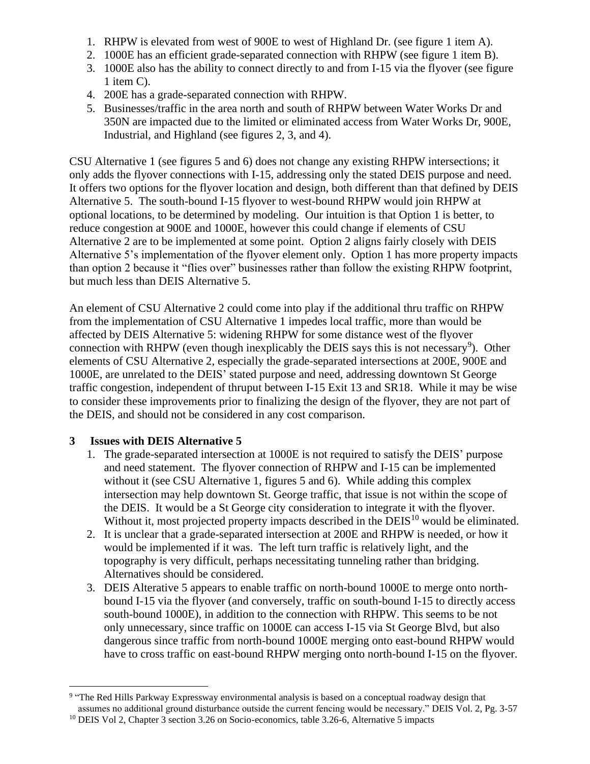- 1. RHPW is elevated from west of 900E to west of Highland Dr. (see figure 1 item A).
- 2. 1000E has an efficient grade-separated connection with RHPW (see figure 1 item B).
- 3. 1000E also has the ability to connect directly to and from I-15 via the flyover (see figure 1 item C).
- 4. 200E has a grade-separated connection with RHPW.
- 5. Businesses/traffic in the area north and south of RHPW between Water Works Dr and 350N are impacted due to the limited or eliminated access from Water Works Dr, 900E, Industrial, and Highland (see figures 2, 3, and 4).

CSU Alternative 1 (see figures 5 and 6) does not change any existing RHPW intersections; it only adds the flyover connections with I-15, addressing only the stated DEIS purpose and need. It offers two options for the flyover location and design, both different than that defined by DEIS Alternative 5. The south-bound I-15 flyover to west-bound RHPW would join RHPW at optional locations, to be determined by modeling. Our intuition is that Option 1 is better, to reduce congestion at 900E and 1000E, however this could change if elements of CSU Alternative 2 are to be implemented at some point. Option 2 aligns fairly closely with DEIS Alternative 5's implementation of the flyover element only. Option 1 has more property impacts than option 2 because it "flies over" businesses rather than follow the existing RHPW footprint, but much less than DEIS Alternative 5.

An element of CSU Alternative 2 could come into play if the additional thru traffic on RHPW from the implementation of CSU Alternative 1 impedes local traffic, more than would be affected by DEIS Alternative 5: widening RHPW for some distance west of the flyover connection with RHPW (even though inexplicably the DEIS says this is not necessary<sup>9</sup>). Other elements of CSU Alternative 2, especially the grade-separated intersections at 200E, 900E and 1000E, are unrelated to the DEIS' stated purpose and need, addressing downtown St George traffic congestion, independent of thruput between I-15 Exit 13 and SR18. While it may be wise to consider these improvements prior to finalizing the design of the flyover, they are not part of the DEIS, and should not be considered in any cost comparison.

## <span id="page-6-0"></span>**3 Issues with DEIS Alternative 5**

- 1. The grade-separated intersection at 1000E is not required to satisfy the DEIS' purpose and need statement. The flyover connection of RHPW and I-15 can be implemented without it (see CSU Alternative 1, figures 5 and 6). While adding this complex intersection may help downtown St. George traffic, that issue is not within the scope of the DEIS. It would be a St George city consideration to integrate it with the flyover. Without it, most projected property impacts described in the DEIS<sup>10</sup> would be eliminated.
- 2. It is unclear that a grade-separated intersection at 200E and RHPW is needed, or how it would be implemented if it was. The left turn traffic is relatively light, and the topography is very difficult, perhaps necessitating tunneling rather than bridging. Alternatives should be considered.
- 3. DEIS Alterative 5 appears to enable traffic on north-bound 1000E to merge onto northbound I-15 via the flyover (and conversely, traffic on south-bound I-15 to directly access south-bound 1000E), in addition to the connection with RHPW. This seems to be not only unnecessary, since traffic on 1000E can access I-15 via St George Blvd, but also dangerous since traffic from north-bound 1000E merging onto east-bound RHPW would have to cross traffic on east-bound RHPW merging onto north-bound I-15 on the flyover.

<sup>&</sup>lt;sup>9</sup> "The Red Hills Parkway Expressway environmental analysis is based on a conceptual roadway design that assumes no additional ground disturbance outside the current fencing would be necessary." DEIS Vol. 2, Pg. 3-57 <sup>10</sup> DEIS Vol 2, Chapter 3 section 3.26 on Socio-economics, table 3.26-6, Alternative 5 impacts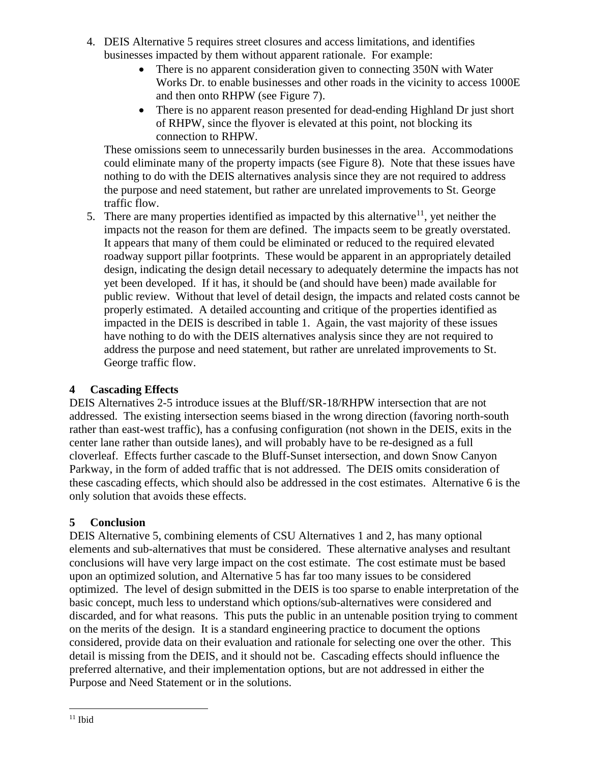- 4. DEIS Alternative 5 requires street closures and access limitations, and identifies businesses impacted by them without apparent rationale. For example:
	- There is no apparent consideration given to connecting 350N with Water Works Dr. to enable businesses and other roads in the vicinity to access 1000E and then onto RHPW (see Figure 7).
	- There is no apparent reason presented for dead-ending Highland Dr just short of RHPW, since the flyover is elevated at this point, not blocking its connection to RHPW.

These omissions seem to unnecessarily burden businesses in the area. Accommodations could eliminate many of the property impacts (see Figure 8). Note that these issues have nothing to do with the DEIS alternatives analysis since they are not required to address the purpose and need statement, but rather are unrelated improvements to St. George traffic flow.

5. There are many properties identified as impacted by this alternative<sup>11</sup>, yet neither the impacts not the reason for them are defined. The impacts seem to be greatly overstated. It appears that many of them could be eliminated or reduced to the required elevated roadway support pillar footprints. These would be apparent in an appropriately detailed design, indicating the design detail necessary to adequately determine the impacts has not yet been developed. If it has, it should be (and should have been) made available for public review. Without that level of detail design, the impacts and related costs cannot be properly estimated. A detailed accounting and critique of the properties identified as impacted in the DEIS is described in table 1. Again, the vast majority of these issues have nothing to do with the DEIS alternatives analysis since they are not required to address the purpose and need statement, but rather are unrelated improvements to St. George traffic flow.

# <span id="page-7-0"></span>**4 Cascading Effects**

DEIS Alternatives 2-5 introduce issues at the Bluff/SR-18/RHPW intersection that are not addressed. The existing intersection seems biased in the wrong direction (favoring north-south rather than east-west traffic), has a confusing configuration (not shown in the DEIS, exits in the center lane rather than outside lanes), and will probably have to be re-designed as a full cloverleaf. Effects further cascade to the Bluff-Sunset intersection, and down Snow Canyon Parkway, in the form of added traffic that is not addressed. The DEIS omits consideration of these cascading effects, which should also be addressed in the cost estimates. Alternative 6 is the only solution that avoids these effects.

# <span id="page-7-1"></span>**5 Conclusion**

DEIS Alternative 5, combining elements of CSU Alternatives 1 and 2, has many optional elements and sub-alternatives that must be considered. These alternative analyses and resultant conclusions will have very large impact on the cost estimate. The cost estimate must be based upon an optimized solution, and Alternative 5 has far too many issues to be considered optimized. The level of design submitted in the DEIS is too sparse to enable interpretation of the basic concept, much less to understand which options/sub-alternatives were considered and discarded, and for what reasons. This puts the public in an untenable position trying to comment on the merits of the design. It is a standard engineering practice to document the options considered, provide data on their evaluation and rationale for selecting one over the other. This detail is missing from the DEIS, and it should not be. Cascading effects should influence the preferred alternative, and their implementation options, but are not addressed in either the Purpose and Need Statement or in the solutions.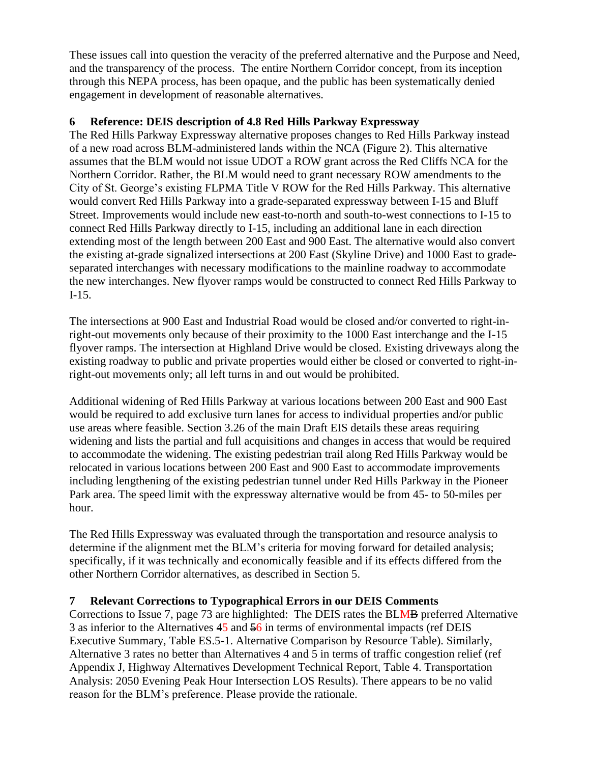These issues call into question the veracity of the preferred alternative and the Purpose and Need, and the transparency of the process. The entire Northern Corridor concept, from its inception through this NEPA process, has been opaque, and the public has been systematically denied engagement in development of reasonable alternatives.

# <span id="page-8-0"></span>**6 Reference: DEIS description of 4.8 Red Hills Parkway Expressway**

The Red Hills Parkway Expressway alternative proposes changes to Red Hills Parkway instead of a new road across BLM-administered lands within the NCA (Figure 2). This alternative assumes that the BLM would not issue UDOT a ROW grant across the Red Cliffs NCA for the Northern Corridor. Rather, the BLM would need to grant necessary ROW amendments to the City of St. George's existing FLPMA Title V ROW for the Red Hills Parkway. This alternative would convert Red Hills Parkway into a grade-separated expressway between I-15 and Bluff Street. Improvements would include new east-to-north and south-to-west connections to I-15 to connect Red Hills Parkway directly to I-15, including an additional lane in each direction extending most of the length between 200 East and 900 East. The alternative would also convert the existing at-grade signalized intersections at 200 East (Skyline Drive) and 1000 East to gradeseparated interchanges with necessary modifications to the mainline roadway to accommodate the new interchanges. New flyover ramps would be constructed to connect Red Hills Parkway to I-15.

The intersections at 900 East and Industrial Road would be closed and/or converted to right-inright-out movements only because of their proximity to the 1000 East interchange and the I-15 flyover ramps. The intersection at Highland Drive would be closed. Existing driveways along the existing roadway to public and private properties would either be closed or converted to right-inright-out movements only; all left turns in and out would be prohibited.

Additional widening of Red Hills Parkway at various locations between 200 East and 900 East would be required to add exclusive turn lanes for access to individual properties and/or public use areas where feasible. Section 3.26 of the main Draft EIS details these areas requiring widening and lists the partial and full acquisitions and changes in access that would be required to accommodate the widening. The existing pedestrian trail along Red Hills Parkway would be relocated in various locations between 200 East and 900 East to accommodate improvements including lengthening of the existing pedestrian tunnel under Red Hills Parkway in the Pioneer Park area. The speed limit with the expressway alternative would be from 45- to 50-miles per hour.

The Red Hills Expressway was evaluated through the transportation and resource analysis to determine if the alignment met the BLM's criteria for moving forward for detailed analysis; specifically, if it was technically and economically feasible and if its effects differed from the other Northern Corridor alternatives, as described in Section 5.

## <span id="page-8-1"></span>**7 Relevant Corrections to Typographical Errors in our DEIS Comments**

Corrections to Issue 7, page 73 are highlighted: The DEIS rates the BLMB preferred Alternative 3 as inferior to the Alternatives 45 and 56 in terms of environmental impacts (ref DEIS Executive Summary, Table ES.5-1. Alternative Comparison by Resource Table). Similarly, Alternative 3 rates no better than Alternatives 4 and 5 in terms of traffic congestion relief (ref Appendix J, Highway Alternatives Development Technical Report, Table 4. Transportation Analysis: 2050 Evening Peak Hour Intersection LOS Results). There appears to be no valid reason for the BLM's preference. Please provide the rationale.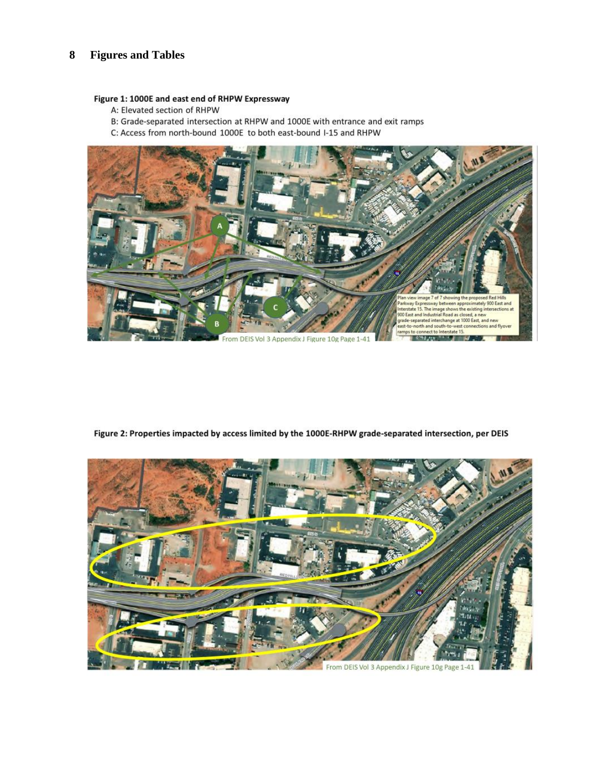#### <span id="page-9-0"></span>**Figures and Tables** 8

#### Figure 1: 1000E and east end of RHPW Expressway

A: Elevated section of RHPW

B: Grade-separated intersection at RHPW and 1000E with entrance and exit ramps

C: Access from north-bound 1000E to both east-bound I-15 and RHPW



Figure 2: Properties impacted by access limited by the 1000E-RHPW grade-separated intersection, per DEIS

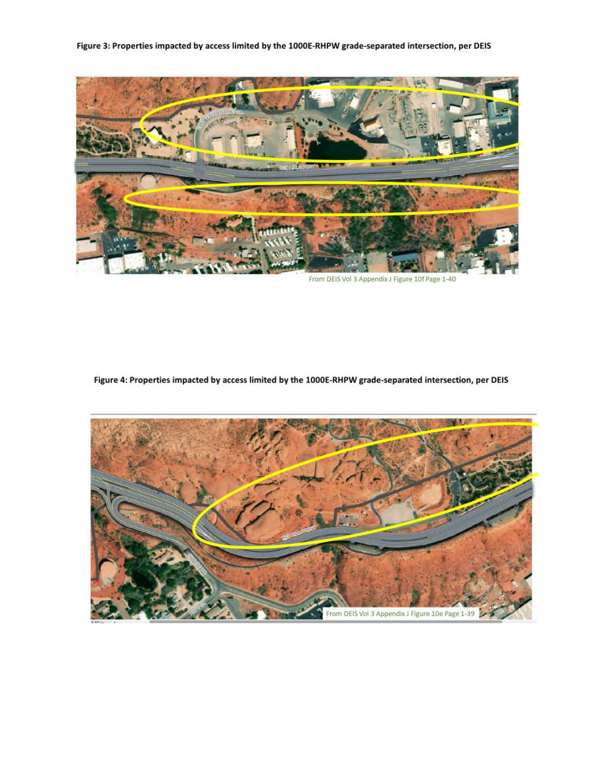Figure 3: Properties impacted by access limited by the 1000E-RHPW grade-separated intersection, per DEIS



From DEIS Vol 3 Appendix J Figure 10f Page 1-40

Figure 4: Properties impacted by access limited by the 1000E-RHPW grade-separated intersection, per DEIS

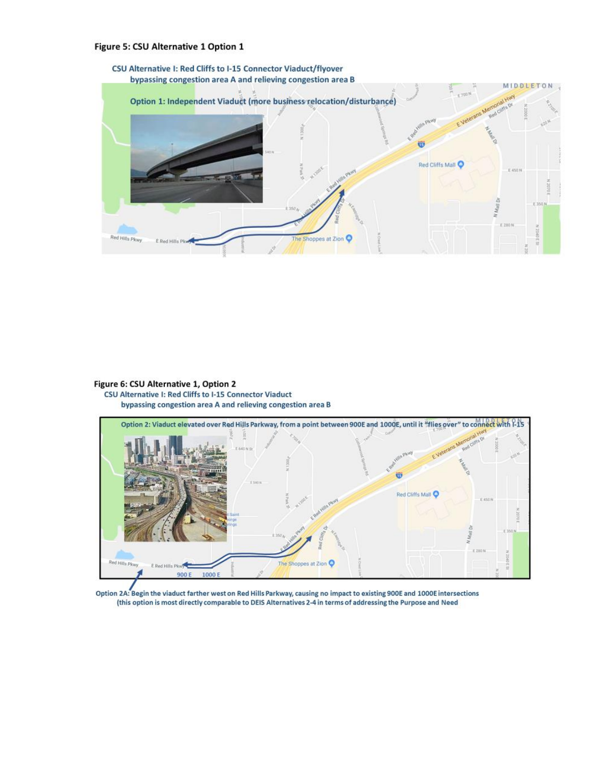#### Figure 5: CSU Alternative 1 Option 1



#### Figure 6: CSU Alternative 1, Option 2 CSU Alternative I: Red Cliffs to I-15 Connector Viaduct bypassing congestion area A and relieving congestion area B



Option 2A: Begin the viaduct farther west on Red Hills Parkway, causing no impact to existing 900E and 1000E intersections (this option is most directly comparable to DEIS Alternatives 2-4 in terms of addressing the Purpose and Need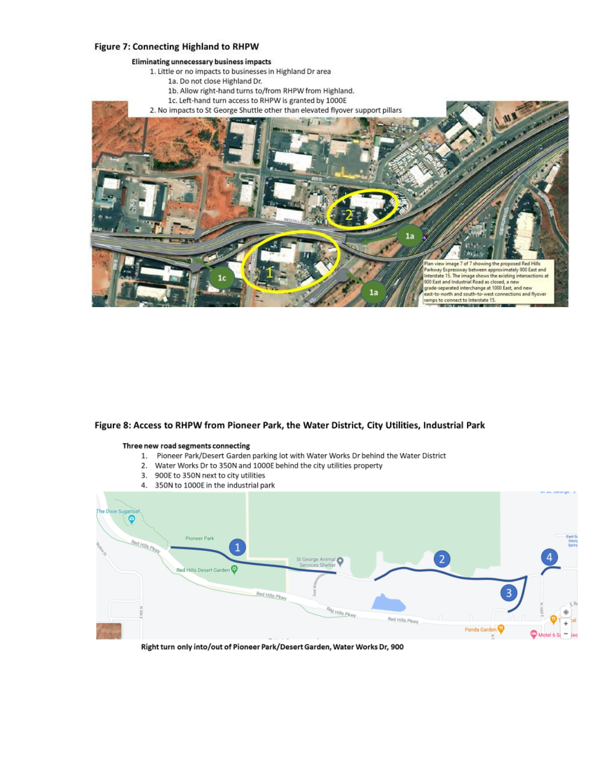#### Figure 7: Connecting Highland to RHPW



#### Figure 8: Access to RHPW from Pioneer Park, the Water District, City Utilities, Industrial Park

#### Three new road segments connecting

- 1. Pioneer Park/Desert Garden parking lot with Water Works Dr behind the Water District
- 2. Water Works Dr to 350N and 1000E behind the city utilities property
- 3. 900E to 350N next to city utilities
- 



Right turn only into/out of Pioneer Park/Desert Garden, Water Works Dr, 900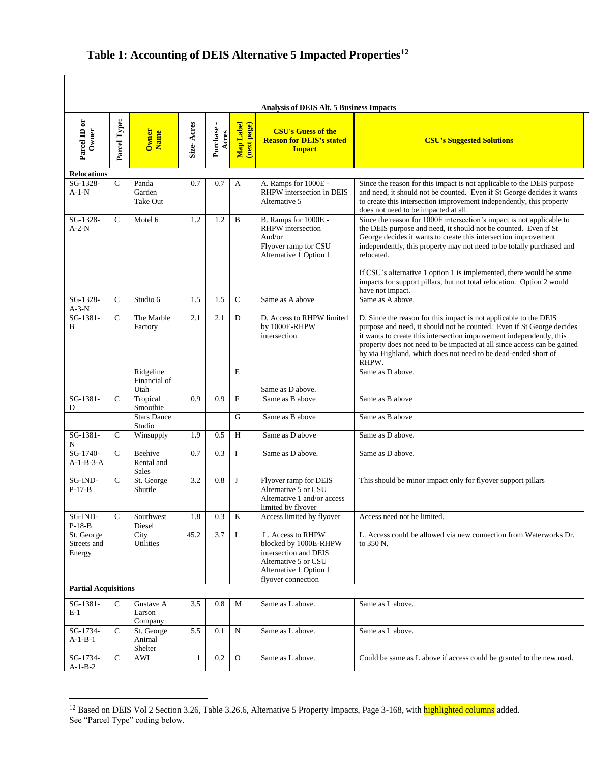### **Table 1: Accounting of DEIS Alternative 5 Impacted Properties 12**

| Analysis of DEIS Alt. 5 Business Impacts |              |                                 |              |                   |                           |                                                                                                                                             |                                                                                                                                                                                                                                                                                                                                                                                                                                                                        |
|------------------------------------------|--------------|---------------------------------|--------------|-------------------|---------------------------|---------------------------------------------------------------------------------------------------------------------------------------------|------------------------------------------------------------------------------------------------------------------------------------------------------------------------------------------------------------------------------------------------------------------------------------------------------------------------------------------------------------------------------------------------------------------------------------------------------------------------|
| Parcel ID or<br>Owner                    | Parcel Type: | Owner<br>Name                   | Size-Acres   | Purchase<br>Acres | Map Label<br>(next page)  | <b>CSU's Guess of the</b><br><b>Reason for DEIS's stated</b><br><b>Impact</b>                                                               | <b>CSU's Suggested Solutions</b>                                                                                                                                                                                                                                                                                                                                                                                                                                       |
| <b>Relocations</b>                       |              |                                 |              |                   |                           |                                                                                                                                             |                                                                                                                                                                                                                                                                                                                                                                                                                                                                        |
| SG-1328-<br>$A-1-N$                      | $\mathsf{C}$ | Panda<br>Garden<br>Take Out     | 0.7          | 0.7               | A                         | A. Ramps for 1000E -<br>RHPW intersection in DEIS<br>Alternative 5                                                                          | Since the reason for this impact is not applicable to the DEIS purpose<br>and need, it should not be counted. Even if St George decides it wants<br>to create this intersection improvement independently, this property<br>does not need to be impacted at all.                                                                                                                                                                                                       |
| SG-1328-<br>$A-2-N$                      | $\mathsf{C}$ | Motel 6                         | 1.2          | 1.2               | B                         | B. Ramps for 1000E -<br>RHPW intersection<br>And/or<br>Flyover ramp for CSU<br>Alternative 1 Option 1                                       | Since the reason for 1000E intersection's impact is not applicable to<br>the DEIS purpose and need, it should not be counted. Even if St<br>George decides it wants to create this intersection improvement<br>independently, this property may not need to be totally purchased and<br>relocated.<br>If CSU's alternative 1 option 1 is implemented, there would be some<br>impacts for support pillars, but not total relocation. Option 2 would<br>have not impact. |
| $SG-1328-$                               | $\mathsf{C}$ | Studio 6                        | 1.5          | 1.5               | $\mathbf C$               | Same as A above                                                                                                                             | Same as A above.                                                                                                                                                                                                                                                                                                                                                                                                                                                       |
| $A-3-N$<br>SG-1381-<br>B                 | $\mathsf{C}$ | The Marble<br>Factory           | 2.1          | 2.1               | D                         | D. Access to RHPW limited<br>by 1000E-RHPW<br>intersection                                                                                  | D. Since the reason for this impact is not applicable to the DEIS<br>purpose and need, it should not be counted. Even if St George decides<br>it wants to create this intersection improvement independently, this<br>property does not need to be impacted at all since access can be gained<br>by via Highland, which does not need to be dead-ended short of<br>RHPW.                                                                                               |
|                                          |              | Ridgeline<br>Financial of       |              |                   | E                         |                                                                                                                                             | Same as D above.                                                                                                                                                                                                                                                                                                                                                                                                                                                       |
| SG-1381-<br>D                            | C            | Utah<br>Tropical<br>Smoothie    | 0.9          | 0.9               | $\boldsymbol{\mathrm{F}}$ | Same as D above.<br>Same as B above                                                                                                         | Same as B above                                                                                                                                                                                                                                                                                                                                                                                                                                                        |
|                                          |              | <b>Stars Dance</b><br>Studio    |              |                   | G                         | Same as B above                                                                                                                             | Same as B above                                                                                                                                                                                                                                                                                                                                                                                                                                                        |
| SG-1381-<br>N                            | $\mathsf{C}$ | Winsupply                       | 1.9          | 0.5               | H                         | Same as D above                                                                                                                             | Same as D above.                                                                                                                                                                                                                                                                                                                                                                                                                                                       |
| SG-1740-<br>$A-1-B-3-A$                  | $\mathsf{C}$ | Beehive<br>Rental and<br>Sales  | 0.7          | 0.3               | I                         | Same as D above.                                                                                                                            | Same as D above.                                                                                                                                                                                                                                                                                                                                                                                                                                                       |
| SG-IND-<br>$P-17-B$                      | C            | St. George<br>Shuttle           | 3.2          | 0.8               | J                         | Flyover ramp for DEIS<br>Alternative 5 or CSU<br>Alternative 1 and/or access<br>limited by flyover                                          | This should be minor impact only for flyover support pillars                                                                                                                                                                                                                                                                                                                                                                                                           |
| $SG$ -IND-<br>P-18-B                     | $\mathsf{C}$ | Southwest<br>Diesel             | 1.8          | 0.3               | K                         | Access limited by flyover                                                                                                                   | Access need not be limited.                                                                                                                                                                                                                                                                                                                                                                                                                                            |
| St. George<br>Streets and<br>Energy      |              | City<br>Utilities               | 45.2         | 3.7               | L                         | L. Access to RHPW<br>blocked by 1000E-RHPW<br>intersection and DEIS<br>Alternative 5 or CSU<br>Alternative 1 Option 1<br>flyover connection | L. Access could be allowed via new connection from Waterworks Dr.<br>to 350 N.                                                                                                                                                                                                                                                                                                                                                                                         |
| <b>Partial Acquisitions</b>              |              |                                 |              |                   |                           |                                                                                                                                             |                                                                                                                                                                                                                                                                                                                                                                                                                                                                        |
| SG-1381-<br>$E-1$                        | $\mathsf C$  | Gustave A<br>Larson<br>Company  | 3.5          | 0.8               | M                         | Same as L above.                                                                                                                            | Same as L above.                                                                                                                                                                                                                                                                                                                                                                                                                                                       |
| $SG-1734-$<br>$A-1-B-1$                  | $\mathsf{C}$ | St. George<br>Animal<br>Shelter | 5.5          | 0.1               | ${\rm N}$                 | Same as L above.                                                                                                                            | Same as L above.                                                                                                                                                                                                                                                                                                                                                                                                                                                       |
| SG-1734-<br>$A-1-B-2$                    | $\mathsf{C}$ | AWI                             | $\mathbf{1}$ | 0.2               | $\mathbf{O}$              | Same as L above.                                                                                                                            | Could be same as L above if access could be granted to the new road.                                                                                                                                                                                                                                                                                                                                                                                                   |

<sup>&</sup>lt;sup>12</sup> Based on DEIS Vol 2 Section 3.26, Table 3.26.6, Alternative 5 Property Impacts, Page 3-168, with **highlighted columns** added. See "Parcel Type" coding below.